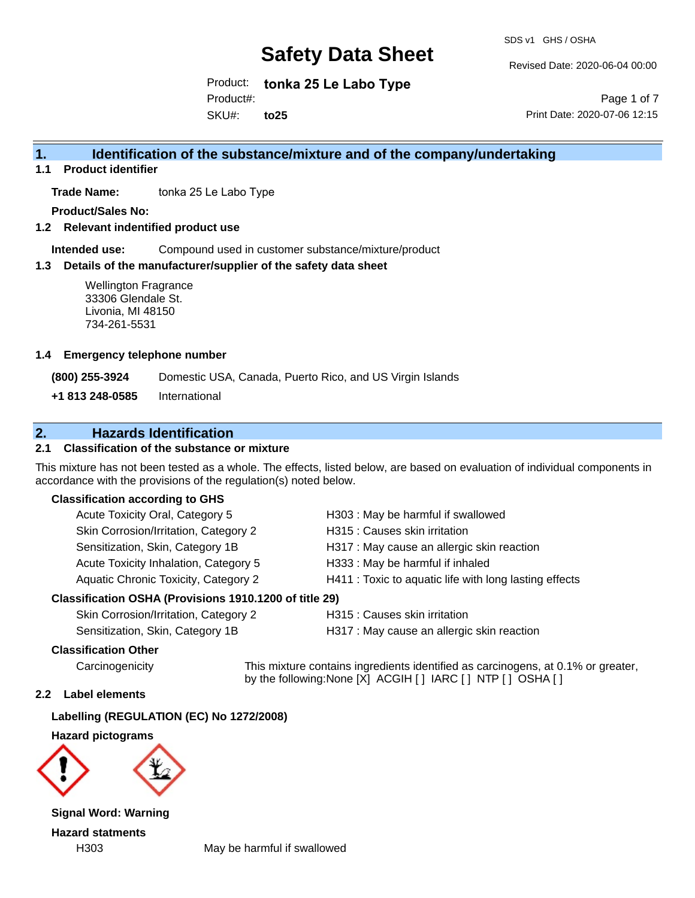SDS v1 GHS / OSHA

Revised Date: 2020-06-04 00:00

Product: **tonka 25 Le Labo Type** SKU#: Product#: **to25**

Page 1 of 7 Print Date: 2020-07-06 12:15

## **1. Identification of the substance/mixture and of the company/undertaking**

**1.1 Product identifier**

**Trade Name:** tonka 25 Le Labo Type

**Product/Sales No:**

**1.2 Relevant indentified product use**

**Intended use:** Compound used in customer substance/mixture/product

#### **1.3 Details of the manufacturer/supplier of the safety data sheet**

Wellington Fragrance 33306 Glendale St. Livonia, MI 48150 734-261-5531

#### **1.4 Emergency telephone number**

**(800) 255-3924** Domestic USA, Canada, Puerto Rico, and US Virgin Islands

**+1 813 248-0585** International

## **2. Hazards Identification**

### **2.1 Classification of the substance or mixture**

This mixture has not been tested as a whole. The effects, listed below, are based on evaluation of individual components in accordance with the provisions of the regulation(s) noted below.

#### **Classification according to GHS**

| Acute Toxicity Oral, Category 5                     | H303: May be harmful if swallowed                      |  |
|-----------------------------------------------------|--------------------------------------------------------|--|
| Skin Corrosion/Irritation, Category 2               | H315 : Causes skin irritation                          |  |
| Sensitization, Skin, Category 1B                    | H317 : May cause an allergic skin reaction             |  |
| Acute Toxicity Inhalation, Category 5               | H333: May be harmful if inhaled                        |  |
| Aquatic Chronic Toxicity, Category 2                | H411 : Toxic to aquatic life with long lasting effects |  |
| ssification OSHA (Provisions 1910.1200 of title 29) |                                                        |  |

#### **Classification OSHA (Provisions 1910.1200 of title 29)**

Skin Corrosion/Irritation, Category 2 H315 : Causes skin irritation Sensitization, Skin, Category 1B H317 : May cause an allergic skin reaction

#### **Classification Other**

Carcinogenicity This mixture contains ingredients identified as carcinogens, at 0.1% or greater, by the following:None [X] ACGIH [ ] IARC [ ] NTP [ ] OSHA [ ]

#### **2.2 Label elements**

**Labelling (REGULATION (EC) No 1272/2008)**

**Hazard pictograms**



**Signal Word: Warning Hazard statments**

H303 May be harmful if swallowed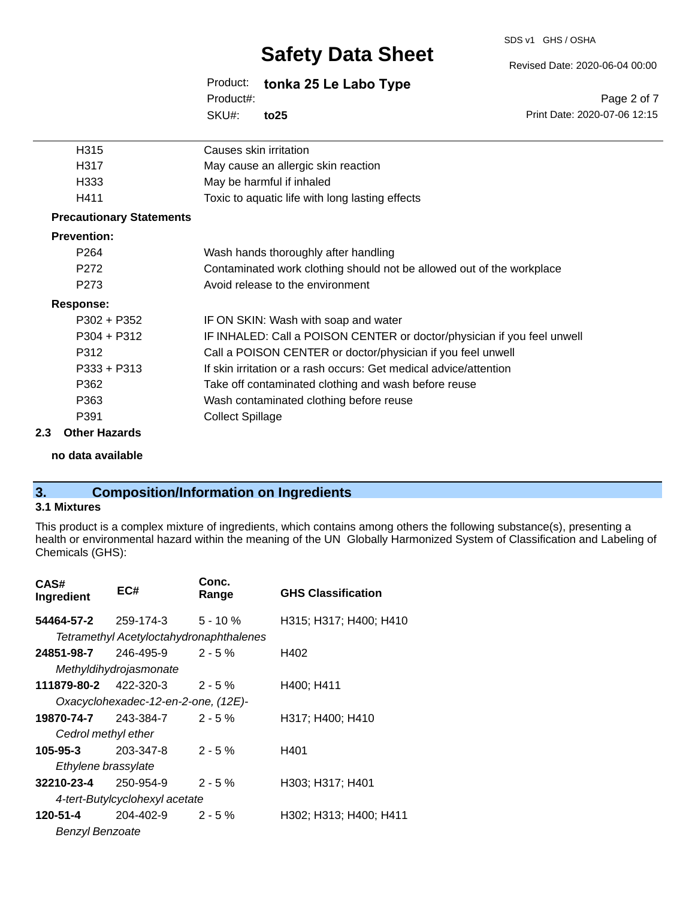#### SDS v1 GHS / OSHA

# **Safety Data Sheet**

Revised Date: 2020-06-04 00:00

Print Date: 2020-07-06 12:15

Page 2 of 7

Product: **tonka 25 Le Labo Type** SKU#: Product#: **to25**

| H315                            | Causes skin irritation                                                  |
|---------------------------------|-------------------------------------------------------------------------|
| H317                            | May cause an allergic skin reaction                                     |
| H333                            | May be harmful if inhaled                                               |
| H411                            | Toxic to aquatic life with long lasting effects                         |
| <b>Precautionary Statements</b> |                                                                         |
| <b>Prevention:</b>              |                                                                         |
| P264                            | Wash hands thoroughly after handling                                    |
| P272                            | Contaminated work clothing should not be allowed out of the workplace   |
| P273                            | Avoid release to the environment                                        |
| Response:                       |                                                                         |
| $P302 + P352$                   | IF ON SKIN: Wash with soap and water                                    |
| $P304 + P312$                   | IF INHALED: Call a POISON CENTER or doctor/physician if you feel unwell |
| P312                            | Call a POISON CENTER or doctor/physician if you feel unwell             |
| $P333 + P313$                   | If skin irritation or a rash occurs: Get medical advice/attention       |
| P362                            | Take off contaminated clothing and wash before reuse                    |
| P363                            | Wash contaminated clothing before reuse                                 |
| P391                            | <b>Collect Spillage</b>                                                 |
| <b>Other Hazards</b>            |                                                                         |

**no data available**

## **3. Composition/Information on Ingredients**

## **3.1 Mixtures**

**2.3 Other Hazards**

This product is a complex mixture of ingredients, which contains among others the following substance(s), presenting a health or environmental hazard within the meaning of the UN Globally Harmonized System of Classification and Labeling of Chemicals (GHS):

| CAS#<br>Ingredient             | EC#                                     | Conc.<br>Range | <b>GHS Classification</b> |
|--------------------------------|-----------------------------------------|----------------|---------------------------|
| <b>54464-57-2</b> 259-174-3    |                                         | $5 - 10 \%$    | H315; H317; H400; H410    |
|                                | Tetramethyl Acetyloctahydronaphthalenes |                |                           |
| 24851-98-7                     | 246-495-9                               | $2 - 5%$       | H402                      |
|                                | Methyldihydrojasmonate                  |                |                           |
| <b>111879-80-2</b> 422-320-3   |                                         | $2 - 5 \%$     | H400; H411                |
|                                | Oxacyclohexadec-12-en-2-one, (12E)-     |                |                           |
| 19870-74-7                     | 243-384-7                               | $2 - 5\%$      | H317; H400; H410          |
| Cedrol methyl ether            |                                         |                |                           |
| 105-95-3                       | 203-347-8                               | $2 - 5%$       | H401                      |
| Ethylene brassylate            |                                         |                |                           |
| 32210-23-4                     | 250-954-9                               | $2 - 5 \%$     | H303; H317; H401          |
| 4-tert-Butylcyclohexyl acetate |                                         |                |                           |
| 120-51-4                       | 204-402-9                               | $2 - 5%$       | H302; H313; H400; H411    |
| <b>Benzyl Benzoate</b>         |                                         |                |                           |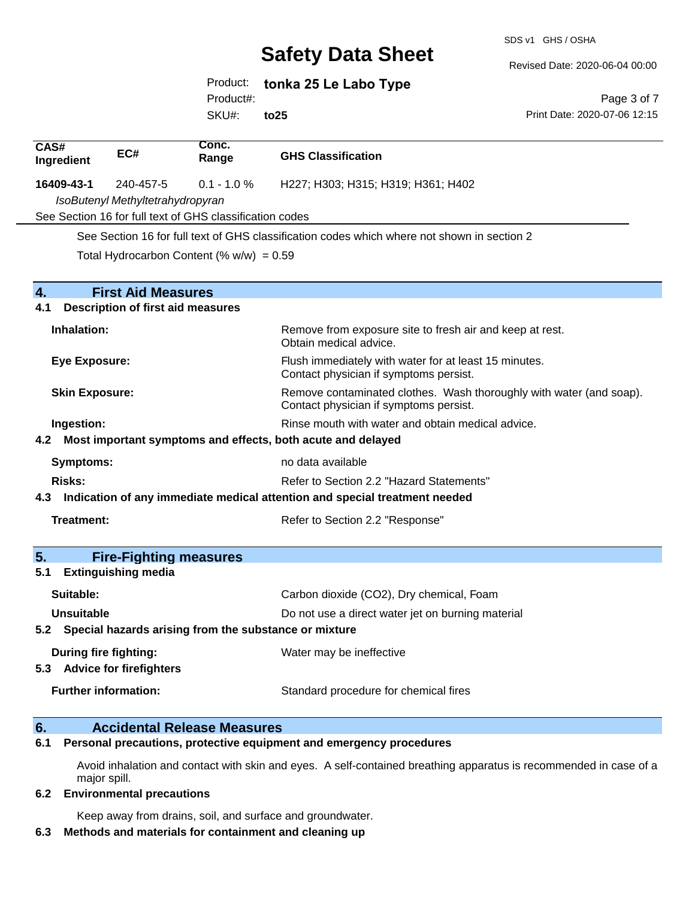SDS v1 GHS / OSHA

Revised Date: 2020-06-04 00:00

Print Date: 2020-07-06 12:15

Page 3 of 7

Product: **tonka 25 Le Labo Type** Product#:

SKU#: **to25**

| CAS#<br>Ingredient                                                             | EC#                                                             | Conc.<br>Range                                           | <b>GHS Classification</b>                                                                                     |
|--------------------------------------------------------------------------------|-----------------------------------------------------------------|----------------------------------------------------------|---------------------------------------------------------------------------------------------------------------|
| 16409-43-1                                                                     | 240-457-5                                                       | $0.1 - 1.0 %$                                            | H227; H303; H315; H319; H361; H402                                                                            |
|                                                                                | IsoButenyl Methyltetrahydropyran                                |                                                          |                                                                                                               |
|                                                                                |                                                                 | See Section 16 for full text of GHS classification codes |                                                                                                               |
|                                                                                |                                                                 |                                                          | See Section 16 for full text of GHS classification codes which where not shown in section 2                   |
|                                                                                |                                                                 | Total Hydrocarbon Content (% $w/w$ ) = 0.59              |                                                                                                               |
|                                                                                |                                                                 |                                                          |                                                                                                               |
| $\mathbf{A}_{-}$                                                               | <b>First Aid Measures</b>                                       |                                                          |                                                                                                               |
| 4.1                                                                            | <b>Description of first aid measures</b>                        |                                                          |                                                                                                               |
| Inhalation:                                                                    |                                                                 |                                                          | Remove from exposure site to fresh air and keep at rest.<br>Obtain medical advice.                            |
| <b>Eye Exposure:</b>                                                           |                                                                 |                                                          | Flush immediately with water for at least 15 minutes.<br>Contact physician if symptoms persist.               |
| <b>Skin Exposure:</b>                                                          |                                                                 |                                                          | Remove contaminated clothes. Wash thoroughly with water (and soap).<br>Contact physician if symptoms persist. |
| Rinse mouth with water and obtain medical advice.<br>Ingestion:                |                                                                 |                                                          |                                                                                                               |
|                                                                                | 4.2 Most important symptoms and effects, both acute and delayed |                                                          |                                                                                                               |
| <b>Symptoms:</b><br>no data available                                          |                                                                 |                                                          |                                                                                                               |
| Refer to Section 2.2 "Hazard Statements"<br>Risks:                             |                                                                 |                                                          |                                                                                                               |
| 4.3 Indication of any immediate medical attention and special treatment needed |                                                                 |                                                          |                                                                                                               |
| Treatment:                                                                     |                                                                 |                                                          | Refer to Section 2.2 "Response"                                                                               |
|                                                                                |                                                                 |                                                          |                                                                                                               |
| 5.                                                                             | <b>Fire-Fighting measures</b>                                   |                                                          |                                                                                                               |
| 5.1                                                                            | <b>Extinguishing media</b>                                      |                                                          |                                                                                                               |
| Suitable:                                                                      |                                                                 |                                                          | Carbon dioxide (CO2), Dry chemical, Foam                                                                      |
| Unsuitable                                                                     |                                                                 |                                                          | Do not use a direct water jet on burning material                                                             |
|                                                                                | 5.2 Special hazards arising from the substance or mixture       |                                                          |                                                                                                               |
|                                                                                | During fire fighting:<br>5.3 Advice for firefighters            |                                                          | Water may be ineffective                                                                                      |
|                                                                                | <b>Further information:</b>                                     |                                                          | Standard procedure for chemical fires                                                                         |

### **6. Accidental Release Measures**

**6.1 Personal precautions, protective equipment and emergency procedures**

Avoid inhalation and contact with skin and eyes. A self-contained breathing apparatus is recommended in case of a major spill.

#### **6.2 Environmental precautions**

Keep away from drains, soil, and surface and groundwater.

### **6.3 Methods and materials for containment and cleaning up**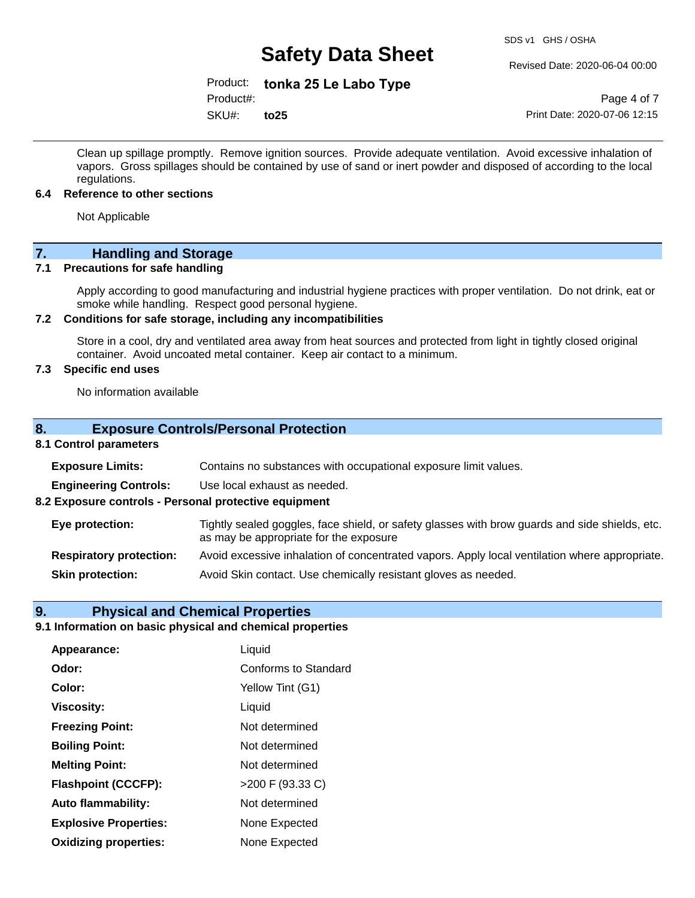Revised Date: 2020-06-04 00:00

Product: **tonka 25 Le Labo Type**

Product#:

SKU#: **to25**

Page 4 of 7 Print Date: 2020-07-06 12:15

Clean up spillage promptly. Remove ignition sources. Provide adequate ventilation. Avoid excessive inhalation of vapors. Gross spillages should be contained by use of sand or inert powder and disposed of according to the local regulations.

#### **6.4 Reference to other sections**

Not Applicable

## **7. Handling and Storage**

#### **7.1 Precautions for safe handling**

Apply according to good manufacturing and industrial hygiene practices with proper ventilation. Do not drink, eat or smoke while handling. Respect good personal hygiene.

#### **7.2 Conditions for safe storage, including any incompatibilities**

Store in a cool, dry and ventilated area away from heat sources and protected from light in tightly closed original container. Avoid uncoated metal container. Keep air contact to a minimum.

### **7.3 Specific end uses**

No information available

#### **8. Exposure Controls/Personal Protection**

#### **8.1 Control parameters**

| <b>Exposure Limits:</b>                               | Contains no substances with occupational exposure limit values.                                                                          |
|-------------------------------------------------------|------------------------------------------------------------------------------------------------------------------------------------------|
| <b>Engineering Controls:</b>                          | Use local exhaust as needed.                                                                                                             |
| 8.2 Exposure controls - Personal protective equipment |                                                                                                                                          |
| Eye protection:                                       | Tightly sealed goggles, face shield, or safety glasses with brow guards and side shields, etc.<br>as may be appropriate for the exposure |
| <b>Respiratory protection:</b>                        | Avoid excessive inhalation of concentrated vapors. Apply local ventilation where appropriate.                                            |
| <b>Skin protection:</b>                               | Avoid Skin contact. Use chemically resistant gloves as needed.                                                                           |

#### **9. Physical and Chemical Properties**

#### **9.1 Information on basic physical and chemical properties**

| Appearance:                  | Liquid               |
|------------------------------|----------------------|
| Odor:                        | Conforms to Standard |
| Color:                       | Yellow Tint (G1)     |
| <b>Viscosity:</b>            | Liquid               |
| <b>Freezing Point:</b>       | Not determined       |
| <b>Boiling Point:</b>        | Not determined       |
| <b>Melting Point:</b>        | Not determined       |
| <b>Flashpoint (CCCFP):</b>   | >200 F (93.33 C)     |
| <b>Auto flammability:</b>    | Not determined       |
| <b>Explosive Properties:</b> | None Expected        |
| <b>Oxidizing properties:</b> | None Expected        |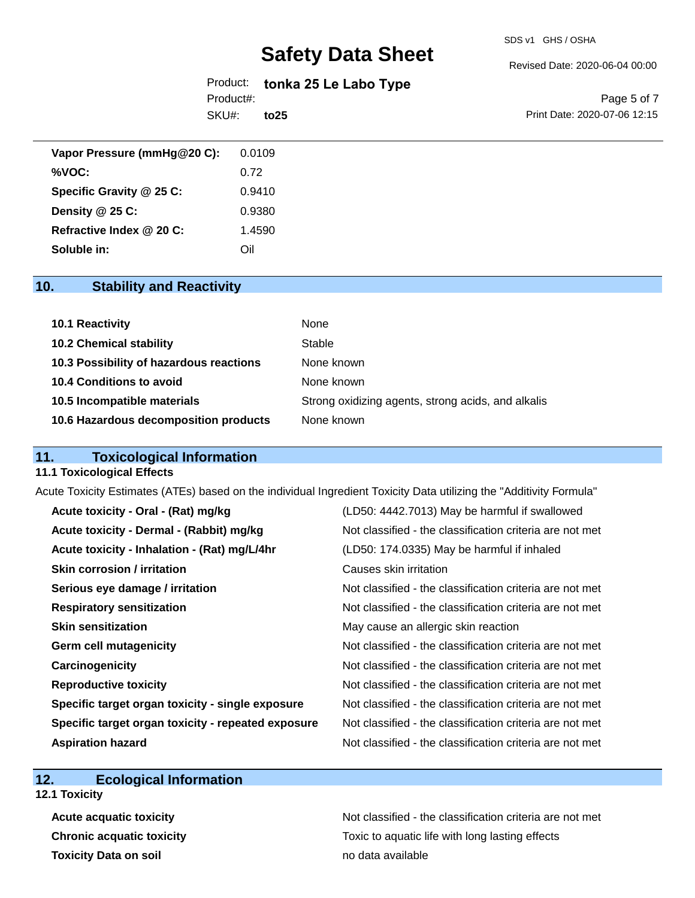SDS v1 GHS / OSHA

Revised Date: 2020-06-04 00:00

Product: **tonka 25 Le Labo Type** SKU#: Product#: **to25**

Page 5 of 7 Print Date: 2020-07-06 12:15

| Vapor Pressure (mmHg@20 C): | 0.0109 |
|-----------------------------|--------|
| %VOC:                       | 0.72   |
| Specific Gravity @ 25 C:    | 0.9410 |
| Density @ 25 C:             | 0.9380 |
| Refractive Index @ 20 C:    | 1.4590 |
| Soluble in:                 | Oil    |

## **10. Stability and Reactivity**

| 10.1 Reactivity                         | None                                               |
|-----------------------------------------|----------------------------------------------------|
| <b>10.2 Chemical stability</b>          | Stable                                             |
| 10.3 Possibility of hazardous reactions | None known                                         |
| 10.4 Conditions to avoid                | None known                                         |
| 10.5 Incompatible materials             | Strong oxidizing agents, strong acids, and alkalis |
| 10.6 Hazardous decomposition products   | None known                                         |

## **11. Toxicological Information**

#### **11.1 Toxicological Effects**

Acute Toxicity Estimates (ATEs) based on the individual Ingredient Toxicity Data utilizing the "Additivity Formula"

| Acute toxicity - Oral - (Rat) mg/kg                | (LD50: 4442.7013) May be harmful if swallowed            |
|----------------------------------------------------|----------------------------------------------------------|
| Acute toxicity - Dermal - (Rabbit) mg/kg           | Not classified - the classification criteria are not met |
| Acute toxicity - Inhalation - (Rat) mg/L/4hr       | (LD50: 174.0335) May be harmful if inhaled               |
| <b>Skin corrosion / irritation</b>                 | Causes skin irritation                                   |
| Serious eye damage / irritation                    | Not classified - the classification criteria are not met |
| <b>Respiratory sensitization</b>                   | Not classified - the classification criteria are not met |
| <b>Skin sensitization</b>                          | May cause an allergic skin reaction                      |
| <b>Germ cell mutagenicity</b>                      | Not classified - the classification criteria are not met |
| Carcinogenicity                                    | Not classified - the classification criteria are not met |
| <b>Reproductive toxicity</b>                       | Not classified - the classification criteria are not met |
| Specific target organ toxicity - single exposure   | Not classified - the classification criteria are not met |
| Specific target organ toxicity - repeated exposure | Not classified - the classification criteria are not met |
| <b>Aspiration hazard</b>                           | Not classified - the classification criteria are not met |

## **12. Ecological Information**

**12.1 Toxicity**

**Toxicity Data on soil no data available no data available** 

Acute acquatic toxicity **Acute acquatic toxicity** Not classified - the classification criteria are not met **Chronic acquatic toxicity Toxic to aquatic life with long lasting effects**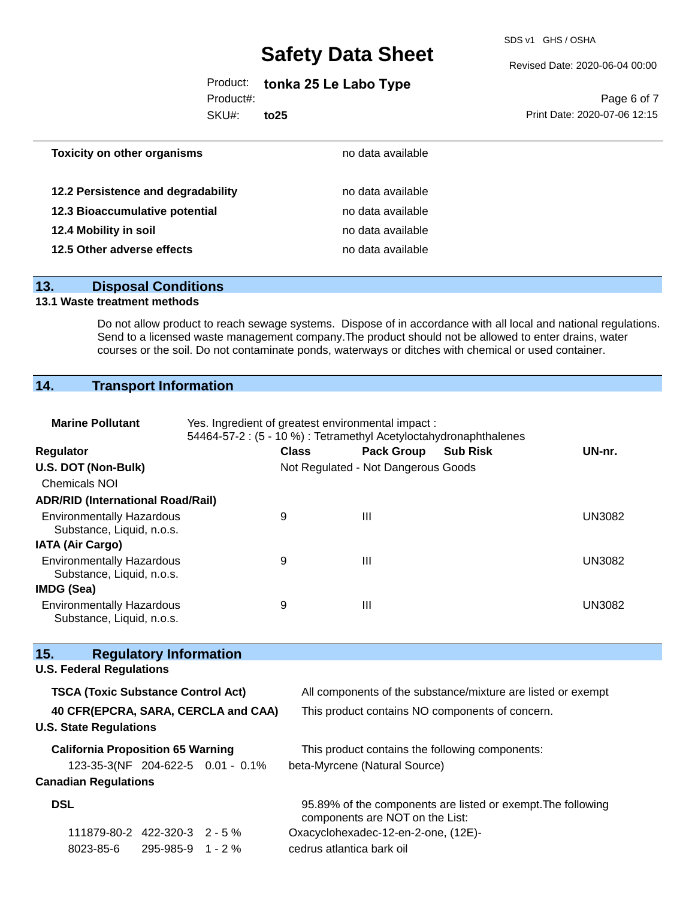SDS v1 GHS / OSHA

Revised Date: 2020-06-04 00:00

Product: **tonka 25 Le Labo Type**

Product#:

SKU#: **to25**

Page 6 of 7 Print Date: 2020-07-06 12:15

| <b>Toxicity on other organisms</b> | no data available |  |
|------------------------------------|-------------------|--|
| 12.2 Persistence and degradability | no data available |  |
| 12.3 Bioaccumulative potential     | no data available |  |
| 12.4 Mobility in soil              | no data available |  |
| 12.5 Other adverse effects         | no data available |  |
|                                    |                   |  |

### **13. Disposal Conditions**

### **13.1 Waste treatment methods**

Do not allow product to reach sewage systems. Dispose of in accordance with all local and national regulations. Send to a licensed waste management company. The product should not be allowed to enter drains, water courses or the soil. Do not contaminate ponds, waterways or ditches with chemical or used container.

## **14. Transport Information**

| <b>Marine Pollutant</b>                                                                                   | Yes. Ingredient of greatest environmental impact:<br>54464-57-2 : (5 - 10 %) : Tetramethyl Acetyloctahydronaphthalenes |                           |                                     |                                                              |               |
|-----------------------------------------------------------------------------------------------------------|------------------------------------------------------------------------------------------------------------------------|---------------------------|-------------------------------------|--------------------------------------------------------------|---------------|
| Regulator                                                                                                 |                                                                                                                        | <b>Class</b>              | <b>Pack Group</b>                   | <b>Sub Risk</b>                                              | UN-nr.        |
| U.S. DOT (Non-Bulk)                                                                                       |                                                                                                                        |                           | Not Regulated - Not Dangerous Goods |                                                              |               |
| <b>Chemicals NOI</b>                                                                                      |                                                                                                                        |                           |                                     |                                                              |               |
| <b>ADR/RID (International Road/Rail)</b>                                                                  |                                                                                                                        |                           |                                     |                                                              |               |
| <b>Environmentally Hazardous</b><br>Substance, Liquid, n.o.s.                                             |                                                                                                                        | 9                         | Ш                                   |                                                              | <b>UN3082</b> |
| <b>IATA (Air Cargo)</b>                                                                                   |                                                                                                                        |                           |                                     |                                                              |               |
| <b>Environmentally Hazardous</b><br>Substance, Liquid, n.o.s.                                             |                                                                                                                        | 9                         | $\mathbf{III}$                      |                                                              | <b>UN3082</b> |
| <b>IMDG (Sea)</b>                                                                                         |                                                                                                                        |                           |                                     |                                                              |               |
| <b>Environmentally Hazardous</b><br>Substance, Liquid, n.o.s.                                             |                                                                                                                        | 9                         | Ш                                   |                                                              | <b>UN3082</b> |
| 15.<br><b>Regulatory Information</b>                                                                      |                                                                                                                        |                           |                                     |                                                              |               |
| <b>U.S. Federal Regulations</b>                                                                           |                                                                                                                        |                           |                                     |                                                              |               |
| <b>TSCA (Toxic Substance Control Act)</b><br>All components of the substance/mixture are listed or exempt |                                                                                                                        |                           |                                     |                                                              |               |
| 40 CFR(EPCRA, SARA, CERCLA and CAA)<br><b>U.S. State Regulations</b>                                      |                                                                                                                        |                           |                                     | This product contains NO components of concern.              |               |
| <b>California Proposition 65 Warning</b>                                                                  |                                                                                                                        |                           |                                     | This product contains the following components:              |               |
| 123-35-3(NF 204-622-5 0.01 - 0.1%                                                                         |                                                                                                                        |                           | beta-Myrcene (Natural Source)       |                                                              |               |
| <b>Canadian Regulations</b>                                                                               |                                                                                                                        |                           |                                     |                                                              |               |
| <b>DSL</b>                                                                                                |                                                                                                                        |                           | components are NOT on the List:     | 95.89% of the components are listed or exempt. The following |               |
| 111879-80-2 422-320-3 2 - 5 %                                                                             |                                                                                                                        |                           | Oxacyclohexadec-12-en-2-one, (12E)- |                                                              |               |
| 8023-85-6<br>295-985-9                                                                                    | 1 - 2 %                                                                                                                | cedrus atlantica bark oil |                                     |                                                              |               |